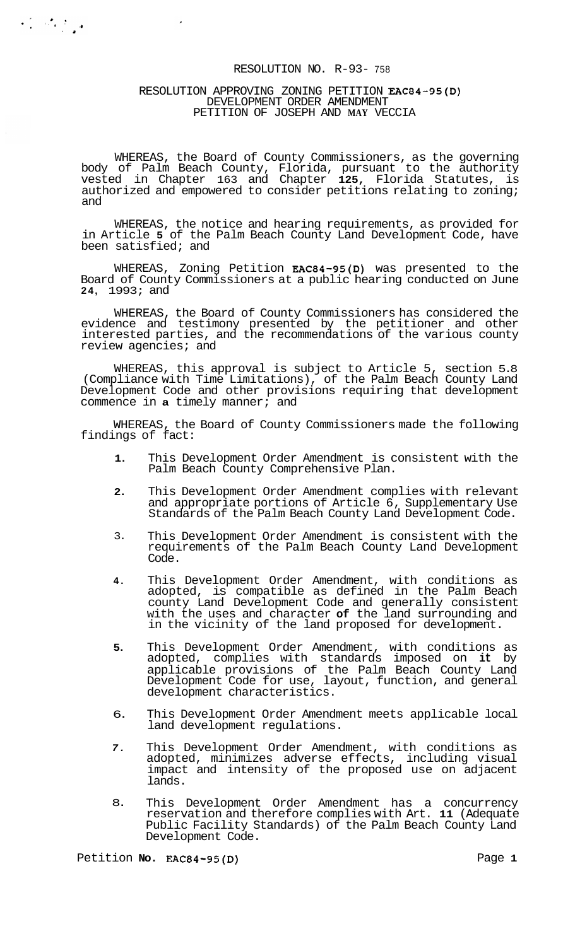#### RESOLUTION NO. R-93- <sup>758</sup>

# RESOLUTION APPROVING ZONING PETITION EAC84-95(D) DEVELOPMENT ORDER AMENDMENT PETITION OF JOSEPH AND **MAY** VECCIA

 $\label{eq:2} \frac{1}{2}\int_{-\infty}^{\infty} \frac{d^2x}{dx^2} \int_{-\infty}^{\infty} \frac{dx}{dx}$ 

 $\sim$ 

WHEREAS, the Board of County Commissioners, as the governing body of Palm Beach County, Florida, pursuant to the authority vested in Chapter 163 and Chapter **125,** Florida Statutes, is authorized and empowered to consider petitions relating to zoning; and

WHEREAS, the notice and hearing requirements, as provided for in Article **5** of the Palm Beach County Land Development Code, have been satisfied; and

WHEREAS, Zoning Petition EAC84-95(D) was presented to the Board of County Commissioners at a public hearing conducted on June **24,** 1993; and

WHEREAS, the Board of County Commissioners has considered the evidence and testimony presented by the petitioner and other interested parties, and the recommendations of the various county review agencies; and

WHEREAS, this approval is subject to Article 5, section 5.8 (Compliance with Time Limitations), of the Palm Beach County Land Development Code and other provisions requiring that development commence in **a** timely manner; and

WHEREAS, the Board of County Commissioners made the following findings of fact:

- **1.**  This Development Order Amendment is consistent with the Palm Beach County Comprehensive Plan.
- **2.**  This Development Order Amendment complies with relevant and appropriate portions of Article 6, Supplementary Use Standards of the Palm Beach County Land Development Code.
- 3. This Development Order Amendment is consistent with the requirements of the Palm Beach County Land Development Code.
- **4.**  This Development Order Amendment, with conditions as adopted, is compatible as defined in the Palm Beach county Land Development Code and generally consistent with the uses and character **of** the land surrounding and in the vicinity of the land proposed for development.
- **5.**  This Development Order Amendment, with conditions as adopted, complies with standards imposed on **it** by applicable provisions of the Palm Beach County Land Development Code for use, layout, function, and general development characteristics.
- 6. This Development Order Amendment meets applicable local land development regulations.
- *7.*  This Development Order Amendment, with conditions as adopted, minimizes adverse effects, including visual impact and intensity of the proposed use on adjacent lands.
- 8. This Development Order Amendment has a concurrency reservation and therefore complies with Art. **11** (Adequate Public Facility Standards) of the Palm Beach County Land Development Code.

Petition **No. EAC84-95(D)** Page 1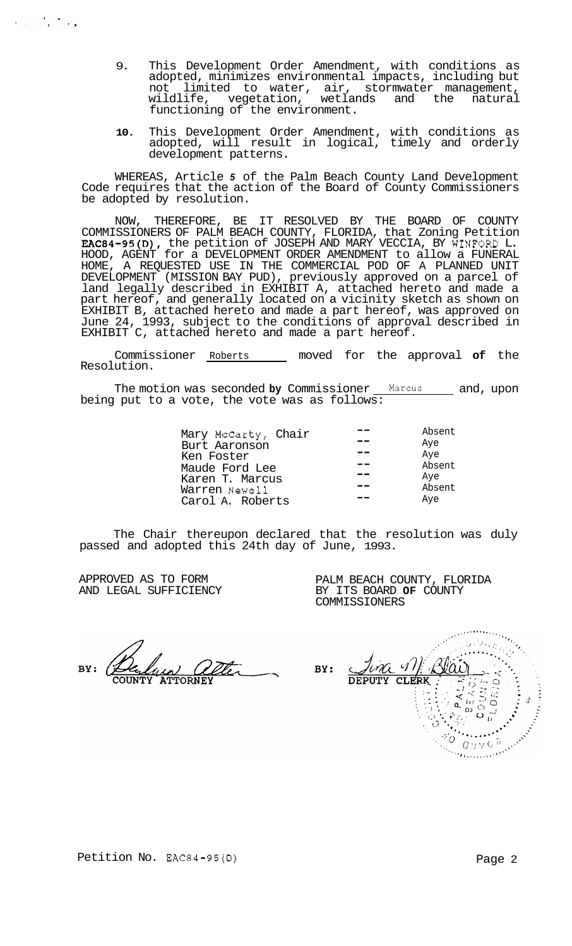- 9. This Development Order Amendment, with conditions as adopted, minimizes environmental impacts, including but not limited to water, air, stormwater management, wildlife, vegetation, wetlands and the natural functioning of the environment.
- **10.** This Development Order Amendment, with conditions as adopted, will result in logical, timely and orderly development patterns.

WHEREAS, Article *5* of the Palm Beach County Land Development Code requires that the action of the Board of County Commissioners be adopted by resolution.

NOW, THEREFORE, BE IT RESOLVED BY THE BOARD OF COUNTY COMMISSIONERS OF PALM BEACH COUNTY, FLORIDA, that Zoning Petition EAC84-95(D), the petition of JOSEPH AND MARY VECCIA, BY WINFORD L. HOOD, AGENT for a DEVELOPMENT ORDER AMENDMENT to allow a FUNERAL HOME, A REQUESTED USE IN THE COMMERCIAL POD OF A PLANNED UNIT DEVELOPMENT (MISSION BAY PUD), previously approved on a parcel of land legally described in EXHIBIT A, attached hereto and made a part hereof, and generally located on a vicinity sketch as shown on EXHIBIT B, attached hereto and made a part hereof, was approved on June 24, 1993, subject to the conditions of approval described in EXHIBIT C, attached hereto and made a part hereof.

Commissioner Roberts moved for the approval **of** the Resolution.

The motion was seconded by Commissioner Marcus and, upon being put to a vote, the vote was as follows:

|                     | Absent |
|---------------------|--------|
| Mary McCarty, Chair |        |
| Burt Aaronson       | Aye    |
| Ken Foster          | Aye    |
| Maude Ford Lee      | Absent |
| Karen T. Marcus     | Aye    |
| Warren Newell       | Absent |
| Carol A. Roberts    | Aye    |

The Chair thereupon declared that the resolution was duly passed and adopted this 24th day of June, 1993.

APPROVED AS TO FORM AND LEGAL SUFFICIENCY

 $\mathcal{L}_{\text{max}}$  , where  $\mathcal{L}_{\text{max}}$ 

PALM BEACH COUNTY, FLORIDA BY ITS BOARD **OF** COUNTY COMMISSIONERS

an<br>Propinsiya  $\mathscr{A}$ BY: DEPUTY CLERK  $\frac{1}{2}$   $\frac{1}{2}$   $\frac{1}{2}$   $\frac{1}{2}$   $\frac{1}{2}$   $\frac{1}{2}$   $\frac{1}{2}$ Allegate Communication

Petition No. EAC84-95(D) Petition No. 2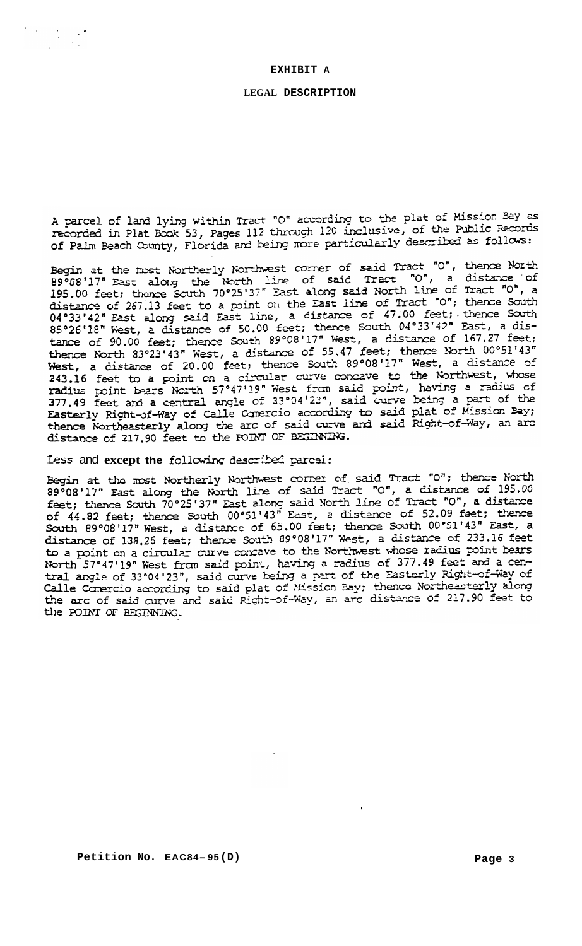# **EXHIBIT A**

# **LEGAL DESCRIPTION**

A parcel of land lying within Tract "O" according to the plat of Mission Bay as A parcel of land lying within Tract "O" according to the pract of hission 24 =<br>recorded in Plat Book 53, Pages 112 through 120 inclusive, of the Public Records of Palm Beach County, Florida and being more particularly described as follows:

Begin at the most Northerly Northwest corner of said Tract "O", thence North Begin at the most Northerly Northwest Coller of Said Tract "0", a distance of<br>89°08'17" East along the North line of said Tract "0", a distance of<br>195.00 feet; thence South 70°25'37" East along said North line of Tract "0" 04°33'42" East along said East line, a distance of 47.00 feet; thence South<br>85°26'18" West, a distance of 50.00 feet; thence South 04°33'42" East, a dis- $85°26'18''$  West, a distance of 50.00 feet; thence south 04 55.42 East, a dis-<br>tance of 90.00 feet; thence South 89°08'17" West, a distance of 167.27 feet; tance of 90.00 feet; thence South 89.00 17 west, a distance of 107.27 feet,<br>thence North 83°23'43" West, a distance of 55.47 feet; thence North 00°51'43" thence North 83°23'43" West, a distance of 55.47 feet; thence North 83°23'43" West, a distance of 20.00 feet; thence South 89°08'17" West, a distance of 243.16 feet to a point on a circular curve concave to the Northwest, radius point bears North 57°47'19" West from said point, having a radius of<br>377.49 feet and a central angle of 33°04'23", said curve being a part of the Easterly Right-of-Way of Calle Comercio according to said plat of Mission Bay;<br>thence Northeasterly along the arc of said curve and said Right-of-Way, an arc<br>distance of said curve and said Right-of-Way, an arc distance of 217.90 feet to the POINT OF BEGINNING.

Less and  $\operatorname{except}$  the following described parcel:<br>Begin at the most Northerly Northwest corner of said Tract "0"; thence North 89°08'17" East along the North line of said Tract "O", a distance of 195.00 feet; thence South 70°25'37" East along said North line of Tract "0", a distance reet; thence south 70-25-37 East along said North Time of flate of 7 a distance<br>of 44.82 feet; thence South 00°51'43" East, a distance of 52.09 feet; thence<br>South 89°08'17" West, a distance of 65.00 feet; thence South 00°5 South 89°08'17" west, a distance of 05:00 feet, thence South 00 51 45 Empty a<br>distance of 138.26 feet; thence South 89°08'17" West, a distance of 233.16 feet to a point on a circular curve concave to the Northwest whose radius point bears North 57°47'19" West from said point, having a radius of 377.49 feet and a central angle of 33°04'23", said curve being a part of the Easterly Right-of-Way of Calle Comercio according to said plat of Mission Bay; thence Northeasterly along<br>the arc of said curve and said Right-of-Way, an arc distance of 217.90 feet to the POINT OF BEGINNING.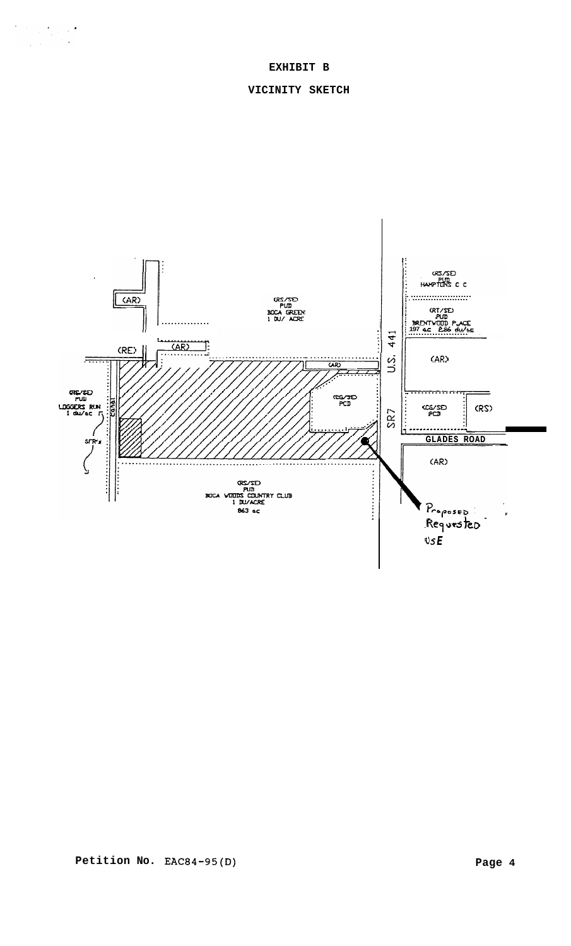# **EXHIBIT B**

# **VICINITY SKETCH**

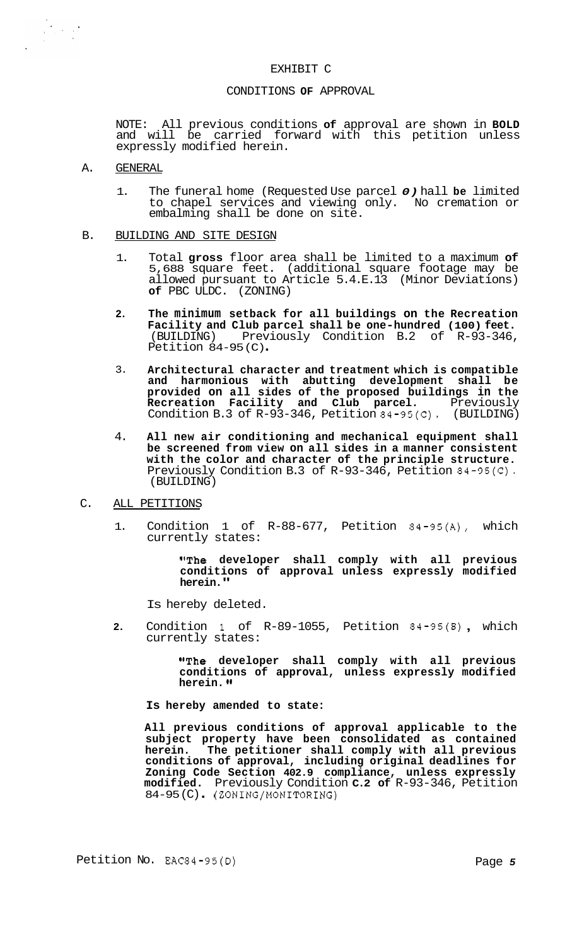#### EXHIBIT C

### CONDITIONS **OF** APPROVAL

NOTE: All previous conditions **of** approval are shown in **BOLD**  and will be carried forward with this petition unless expressly modified herein.

# A. GENERAL

- 1. The funeral home (Requested Use parcel *0)* hall **be** limited to chapel services and viewing only. No cremation or embalming shall be done on site.
- B. BUILDING AND SITE DESIGN
	- 1. Total **gross** floor area shall be limited to a maximum **of**  5,688 square feet. (additional square footage may be allowed pursuant to Article 5.4.E.13 (Minor Deviations) **of** PBC ULDC. (ZONING)
	- **2. The minimum setback for all buildings on the Recreation Facility and Club parcel shall be one-hundred (100) feet.**  (BUILDING) Previously Condition B.2 of R-93-346, Petition 84-95 (C) .
	- 3. **Architectural character and treatment which is compatible and harmonious with abutting development shall be provided on all sides of the proposed buildings in the Recreation Facility and Club parcel.** Previously Condition B.3 of R-93-346, Petition 84-95(C). (BUILDING)
	- 4. **All new air conditioning and mechanical equipment shall be screened from view on all sides in a manner consistent with the color and character of the principle structure.**  Previously Condition B.3 of R-93-346, Petition 84-95(C). (BUILDING)
- C. ALL PETITIONS
	- 1. Condition 1 of R-88-677, Petition 84-95(A), which currently states:

**"The developer shall comply with all previous conditions of approval unless expressly modified herein."** 

Is hereby deleted.

**2.** Condition 1 of R-89-1055, Petition 84-95(B) , which currently states:

> **"The developer shall comply with all previous conditions of approval, unless expressly modified herein.**

**Is hereby amended to state:** 

**All previous conditions of approval applicable to the**  subject property have been consolidated as contained herein. The petitioner shall comply with all previous **herein. The petitioner shall comply with all previous conditions of approval, including original deadlines for Zoning Code Section 402.9 compliance, unless expressly modified.** Previously Condition **C.2 of** R-93-346, Petition 84-95 (C) . (ZONING/MONITORING)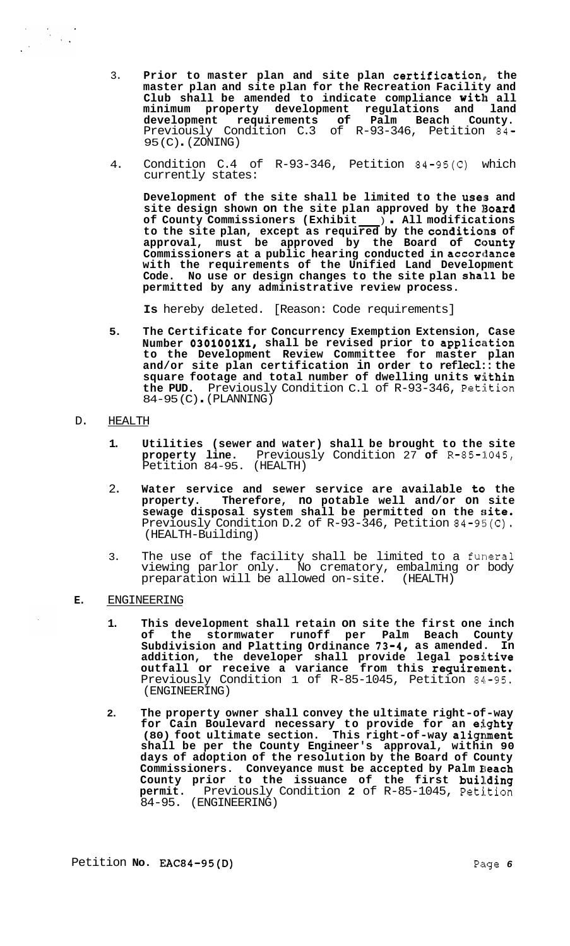- 3. **Prior to master plan and site plan certification, the master plan and site plan for the Recreation Facility and Club shall be amended to indicate compliance with all minimum property development regulations and land development requirements of Palm Beach County.**  development requirements of Palm Beach County.<br>Previously Condition C.3 of R-93-346, Petition 84-95 (C) . (ZONING)
- 4. Condition C.4 of R-93-346, Petition 84-95(C) which currently states:

**Development of the site shall be limited to the uses and**  site design shown on the site plan approved by the **Board** site design shown on the site plan approved by the Board of County Commissioners (Exhibit \_\_\_\_) . All modifications Condition C.4 Of R-93-340, Petition 84-99(C) Which<br>
currently states:<br>
Development of the site shall be limited to the uses and<br>
site design shown on the site plan approved by the Board<br>
of County Commissioners (Exhibit \_\_ **approval, must be approved by the Board of Ccmnty**  Commissioners at a public hearing conducted in accordance **with the requirements of the Unified Land Development Code. No use or design changes to the site plan shall be permitted by any administrative review process.** 

**Is** hereby deleted. [Reason: Code requirements]

**5. The Certificate for Concurrency Exemption Extension, Case**  Number 0301001X1, shall be revised prior to application **to the Development Review Committee for master plan and/or site plan certification in order to reflecl:: the square footage and total number of dwelling units within**  the PUD. Previously Condition C.1 of R-93-346, Petition 84-95 (C). (PLANNING)

D. HEALTH

- **1. Utilities (sewer and water) shall be brought to the site property line.** Previously Condition 27 of  $R-85-1045$ , Petition 84-95. (HEALTH)
- 2. Water service and sewer service are available to the **property. Therefore, no potable well and/or on site**  sewage disposal system shall be permitted on the si**te.** Previously Condition D.2 of  $R-93-346$ , Petition  $84-95$ (C). (HEALTH-Building)
- 3. The use of the facility shall be limited to a funeral viewing parlor only. No crematory, embalming or body<br>preparation will be allowed on-site. (HEALTH) preparation will be allowed on-site.
- **E.** ENGINEERING
	- **1. This development shall retain on site the first one inch of the stormwater runoff per Palm Beach County**  Subdivision and Platting Ordinance 73-4, as amended. In **addition, the developer shall provide legal positive outfall or receive a variance from this requirement.**  Previously Condition 1 of R-85-1045, Petition 84-95. (ENGINEERING)
	- **2. The property owner shall convey the ultimate right-of-way for Cain Boulevard necessary to provide for an ei.ghty (80) foot ultimate section. This right-of-way alignment shall be per the County Engineer's approval, within 90 days of adoption of the resolution by the Board of County Commissioners. Conveyance must be accepted by Palm Reach**  County prior to the issuance of the first building<br>permit. Previously Condition 2 of R-85-1045, Petition Previously Condition 2 of R-85-1045, Petition 84-95. (ENGINEERING)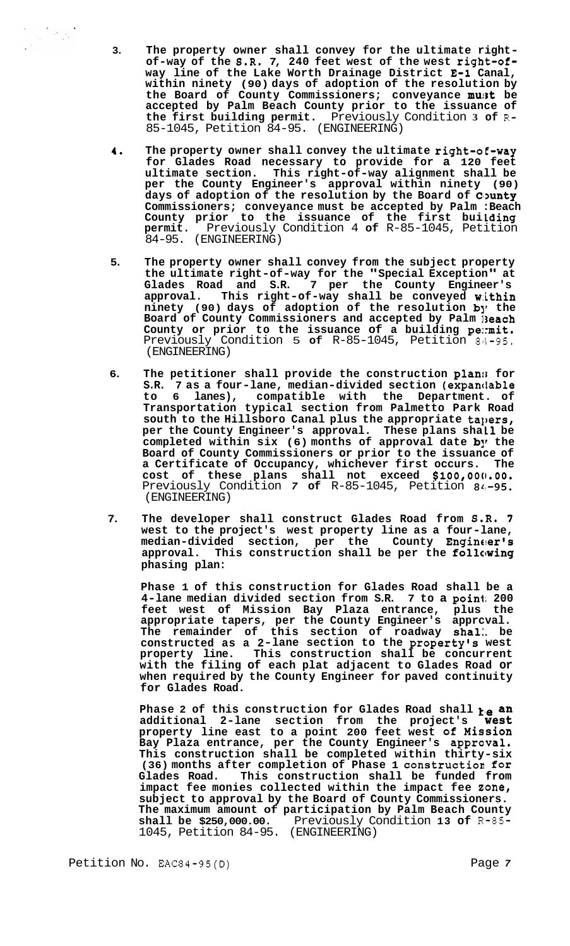- **3. The property owner shall convey for the ultimate right- of-way of the 8.R. 7, 240 feet west of the west rigbt-ofway line of the Lake Worth Drainage District E-1 Canal, within ninety (90) days of adoption of the resolution by the Board of County Commissioners; conveyance must be accepted by Palm Beach County prior to the issuance of the first building permit.** Previously Condition **3 of** R-85-1045, Petition 84-95. (ENGINEERING)
- **4. The property owner shall convey the ultimate right-ot-way for Glades Road necessary to provide for a 120 feet ultimate section. This right-of-way alignment shall be per the County Engineer's approval within ninety (90)**  days of adoption of the resolution by the Board of County **Commissioners; conveyance must be accepted by Palm :Beach County prior to the issuance of the first bui Lding permit.** Previously Condition 4 **of** R-85-1045, Petition 84-95. (ENGINEERING)
- **5. The property owner shall convey from the subject property the ultimate right-of-way for the "Special Exception" at Glades Road and S.R. 7 per the County Engineer's approval. This right-of-way shall be conveyed w:ithin ninety (90) days of adoption of the resolution by the Board of County Commissioners and accepted by Palm 13each County or prior to the issuance of a building pe::mit.**  Previously Condition 5 of R-85-1045, Petition 84-95. (ENGINEERING)
- **6. The petitioner shall provide the construction p1an:i for**  S.R. 7 as a four-lane, median-divided section (expandable<br>to 6 lanes), compatible with the Department. of compatible with the Department. of **Transportation typical section from Palmetto Park Road south to the Hillsboro Canal plus the appropriate tapers,**  per the County Engineer's approval. These plans shall be **completed within six (6) months of approval date by the Board of County Commissioners or prior to the issuance of a Certificate of Occupancy, whichever first occurs. The cost of these plans shall not exceed \$100,000.00.**  Previously Condition *7* **of** R-85-1045, Petition 81:-95. (ENGINEERING)
- **7. The developer shall construct Glades Road from 6.R. 7 west to the project's west property line as a four-lane, median-divided section, per the County Engineer's approval. This construction shall be per the follclwing phasing plan:**

**Phase 1 of this construction for Glades Road shall be a 4-lane median divided section from S.R. 7 to a point 200 feet west of Mission Bay Plaza entrance, plus the appropriate tapers, per the County Engineer's apprcval. The remainder of this section of roadway shal:. be constructed as a 2-lane section to the property's west property line. This construction shall be concurrent with the filing of each plat adjacent to Glades Road or when required by the County Engineer for paved continuity for Glades Road.** 

Phase 2 of this construction for Glades Road shall **ream** additional 2-lane section from the project's **West additional 2-lane section from the project's west property line east to a point 200 feet west Of Mission Bay Plaza entrance, per the County Engineer's approval. This construction shall be completed within thirty-six (36) months after completion of Phase 1 constructioa for**  This construction shall be funded from **impact fee monies collected within the impact fee zone, subject to approval by the Board of County Commissioners. The maximum amount of participation by Palm Beach County shall be \$250,000.00.** Previously Condition **13 of** R-85- 1045, Petition 84-95. (ENGINEERING)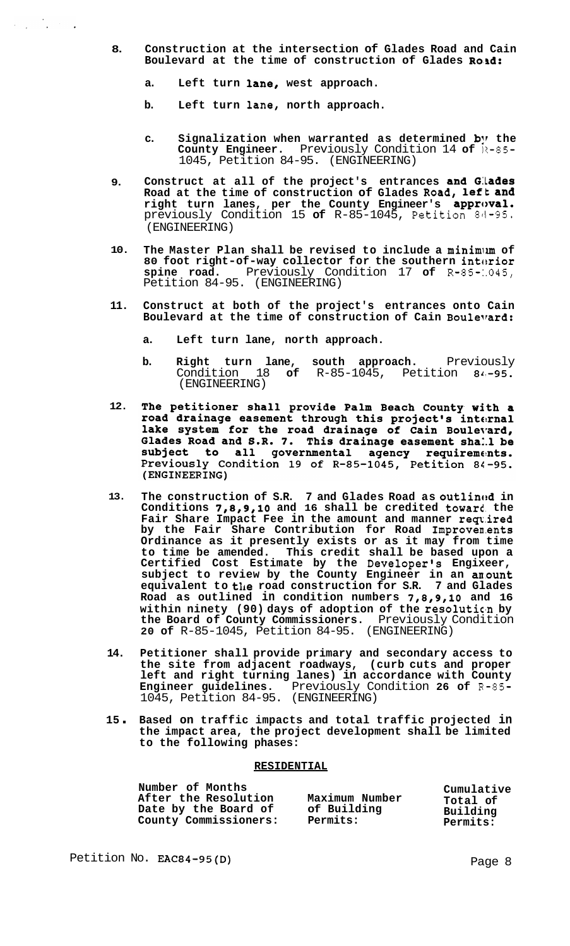- **8. Construction at the intersection of Glades Road and Cain**  Boulevard at the time of construction of Glades Roid:
	- **a. Left turn lane, west approach.**

 $\epsilon_{\rm{max}}$ 

 $\frac{1}{2}$ 

- **b. Left turn lane, north approach.**
- **c. Signalization when warranted as determined b!r the County Engineer.** Previously Condition 14 **of** 11-85- 1045, Petition 84-95. (ENGINEERING)
- **9. Construct at all of the project's entrances and G:LadeS Road at the time of construction of Glades Road, left and**  right turn lanes, per the County Engineer's approval. previously Condition 15 of R-85-1045, Petition 84-95. (ENGINEERING)
- **10. The Master Plan shall be revised to include a minimiun of**  80 foot right-of-way collector for the southern interior **spine road.** Previously Condition 17 **of** R-85-:.045, Petition 84-95. (ENGINEERING)
- **11. Construct at both of the project's entrances onto Cain Boulevard at the time of construction of Cain Boulelrard:** 
	- **a. Left turn lane, north approach.**
	- **b. Right turn lane, south approach.** Previously Condition 18 **of** R-85-1045, Petition 81.-95. (ENGINEERING)
- The petitioner shall provide Palm Beach County with a **12.**  road drainage easement through this project's internal lake system for the road drainage of Cain Boulevard,<br>Glades Road and S.R. 7. This drainage easement shall be subject to all governmental agency requirements. Previously Condition 19 of R-85-1045, Petition 84-95. (ENGINEERING)
- **13.**  The construction of S.R. 7 and Glades Road as outlined in **Conditions 7,8,9,10 and 16 shall be credited toward the** Fair Share Impact Fee in the amount and manner required **by the Fair Share Contribution for Road 1mproven.ents Ordinance as it presently exists or as it may from time to time be amended. This credit shall be based upon a Certified Cost Estimate by the Developer's Engixeer, subject to review by the County Engineer in an arount equivalent to the road construction for S.R. 7 and Glades**  Road as outlined in condition numbers 7,8,9,10 and 16 within ninety (90) days of adoption of the resolution by **the Board of County Commissioners.** Previously Condition **20 of** R-85-1045, Petition 84-95. (ENGINEERING)
- **14. Petitioner shall provide primary and secondary access to the site from adjacent roadways, (curb cuts and proper left and right turning lanes) in accordance with County Engineer guidelines.** Previously Condition **26 of** R-85- 1045, Petition 84-95. (ENGINEERING)
- **<sup>15</sup>**. **Based on traffic impacts and total traffic projected in the impact area, the project development shall be limited to the following phases:**

#### **RESIDENTIAL**

| Number of Months<br>After the Resolution<br>Date by the Board of | Maximum Number<br>of Building | Cumulative<br>Total of<br>Building |
|------------------------------------------------------------------|-------------------------------|------------------------------------|
| County Commissioners:                                            | Permits:                      | Permits:                           |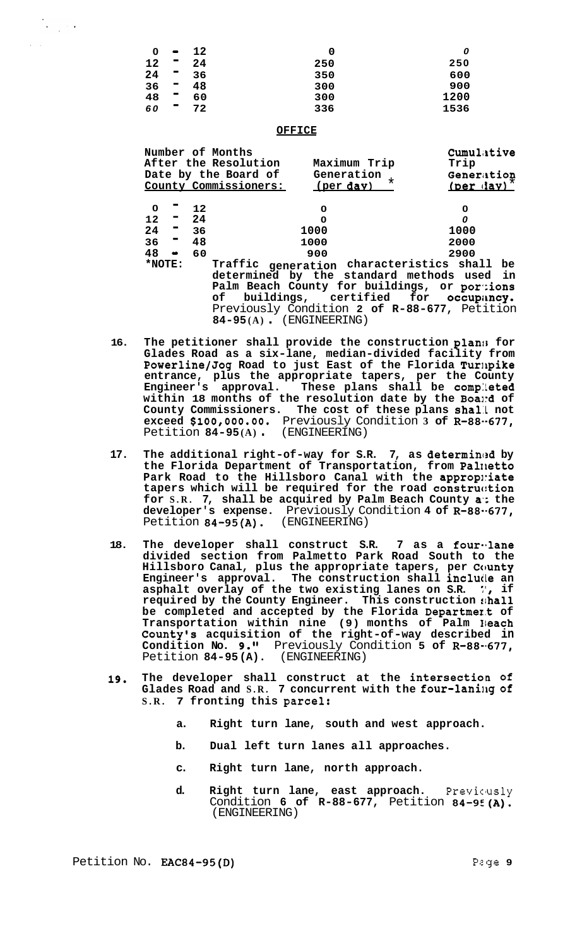| O  | $\bullet$      | 12 | O   | 0    |
|----|----------------|----|-----|------|
| 12 | ш              | 24 | 250 | 250  |
| 24 | ш              | 36 | 350 | 600  |
| 36 | ▬              | 48 | 300 | 900  |
| 48 | $\blacksquare$ | 60 | 300 | 1200 |
| 60 | ш              | 72 | 336 | 1536 |

#### **OFFICE**

 $\frac{1}{2} \sum_{i=1}^n \frac{1}{i!} \sum_{j=1}^n \frac{1}{j!} \frac{1}{j!} \frac{1}{j!}$ 

|           |       | Number of Months<br>After the Resolution<br>Date by the Board of<br>County Commissioners:                                                                                                                                                                       | Maximum Trip<br>Generation $\star$<br>(per day) | Cumulative<br>Trip<br>Generation<br>$(per$ $day)$ |
|-----------|-------|-----------------------------------------------------------------------------------------------------------------------------------------------------------------------------------------------------------------------------------------------------------------|-------------------------------------------------|---------------------------------------------------|
| 0         | $-12$ | 0                                                                                                                                                                                                                                                               |                                                 | 0                                                 |
| $12 - 24$ |       | $\mathbf 0$                                                                                                                                                                                                                                                     |                                                 | 0                                                 |
| $24 - 36$ |       | 1000                                                                                                                                                                                                                                                            |                                                 | 1000                                              |
| $36 - 48$ |       | 1000                                                                                                                                                                                                                                                            |                                                 | 2000                                              |
| $48 - 60$ |       | 900                                                                                                                                                                                                                                                             |                                                 | 2900                                              |
| $*$ NOTE: |       | Traffic generation characteristics shall be<br>determined by the standard methods used in<br>Palm Beach County for buildings, or portions<br>of buildings, certified for occupancy.<br>Previously Condition 2 of R-88-677, Petition<br>$84-95(A)$ (ENGINEERING) |                                                 |                                                   |

- 16. The petitioner shall provide the construction plans for **Glades Road as a six-lane, median-divided facility from Powerline/Jog Road to just East of the Florida Turilpike entrance, plus the appropriate tapers, per the County Engineer's approval. These plans shall be comp:!eted within 18 months of the resolution date by the Boai:d of County Commissioners. The cost of these plans sha1:L not exceed \$100,000.00.** Previously Condition **3 of R-88.-677,**  Petition **84-95 (A)** . (ENGINEERING)
- 17. The additional right-of-way for S.R. 7, as determined by **the Florida Department of Transportation, from Palxletto**  Park Road to the Hillsboro Canal with the appropniate **tapers which will be required for the road construc:tion for S.R. 7, shall be acquired by Palm Beach County a'; the developer's expense.** Previously Condition **4 of R-88.-677,**  Petition **84-95(A).** (ENGINEERING)
- **18. The developer shall construct S.R. 7 as a four-.lane divided section from Palmetto Park Road South to the Hillsboro Canal, plus the appropriate tapers, per County Engineer's approval. The construction shall incluile an asphalt overlay of the two existing lanes on S.R.** :', **if**  required by the County Engineer. This construction  $$hall$ **be completed and accepted by the Florida Departme1.t of Transportation within nine (9) months of Palm Ileach County's acquisition of the right-of-way described in Condition No. 9."** Previously Condition **5 of R-88-.677,**  Petition **84-95(A).** (ENGINEERING)
- **19. The developer shall construct at the intersection of Glades Road and S.R. 7 concurrent with the four-lanillg of S.R. 7 fronting this parcel:** 
	- **a. Right turn lane, south and west approach.**
	- **b. Dual left turn lanes all approaches.**
	- **c. Right turn lane, north approach.**
	- d. Right turn lane, east approach. Previously Condition **6 of R-88-677,** Petition **84-9E(A).**  (ENGINEERING)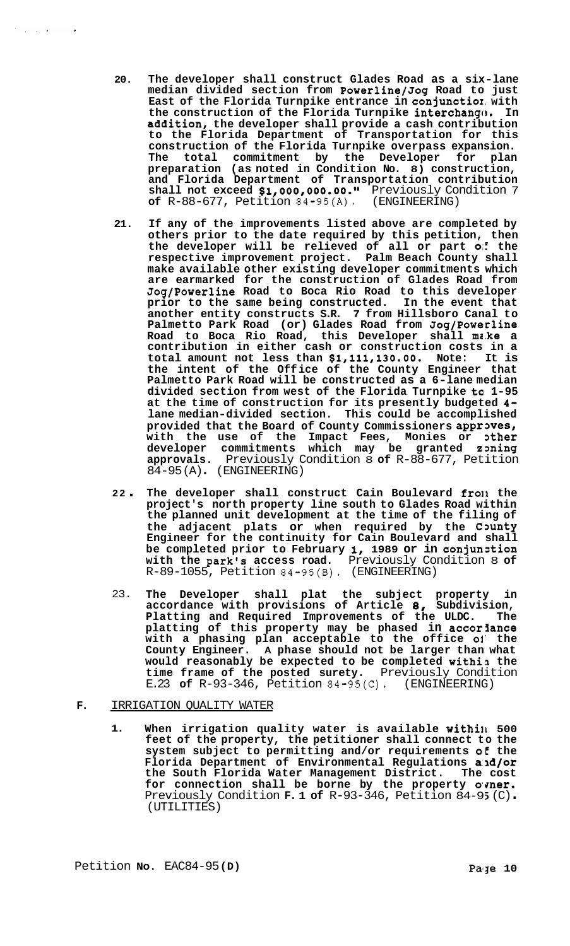- **20. The developer shall construct Glades Road as a six-lane median divided section from Powerline/Jog Road to just East of the Florida Turnpike entrance in conjunctior. with**  the construction of the Florida Turnpike interchange. In **addition, the developer shall provide a cash contribution to the Florida Department of Transportation for this construction of the Florida Turnpike overpass expansion. The total commitment by the Developer for plan preparation (as noted in Condition No. 8) construction, and Florida Department of Transportation contribution shall not exceed \$18000,000.00.~~** Previously Condition 7 **of** R-88-677, Petition 84-95(A). (ENGINEERING)
- **21. If any of the improvements listed above are completed by others prior to the date required by this petition, then the developer will be relieved of all or part** *0::* **the respective improvement project. Palm Beach County shall make available other existing developer commitments which are earmarked for the construction of Glades Road from Jog/Powerline Road to Boca Rio Road to this developer prior to the same being constructed. In the event that another entity constructs S.R. 7 from Hillsboro Canal to Palmetto Park Road (or) Glades Road from Jog/Powerline Road to Boca Rio Road, this Developer shall mc.ke a contribution in either cash or construction costs in a total amount not less than \$18111,130.00. Note: It is the intent of the Off ice of the County Engineer that Palmetto Park Road will be constructed as a 6-lane median divided section from west of the Florida Turnpike ta 1-95 at the time of construction for its presently budgeted 4 lane median-divided section. This could be accomplished**  provided that the Board of County Commissioners approves, **with the use of the Impact Fees, Monies or 3ther developer commitments which may be granted zming approvals.** Previously Condition 8 **of** R-88-677, Petition  $84-95 (A)$  (ENGINEERING)
- **<sup>22</sup>**. **The developer shall construct Cain Boulevard fro11 the project's north property line south to Glades Road within the planned unit development at the time of the filing of**  the adjacent plats or when required by the County **Engineer for the continuity for Cain Boulevard and shall be completed prior to February I, 1989 or in conjunztion with the park's access road.** Previously Condition 8 **of**  R-89-1055, Petition 84-95(B). (ENGINEERING)
- 23. **The Developer shall plat the subject property in**  accordance with provisions of Article 8, Subdivision, **Platting and Required Improvements of the ULDC. The**  platting of this property may be phased in accoriance **with a phasing plan acceptable to the office 01' the County Engineer. A phase should not be larger than what would reasonably be expected to be completed withi3 the time frame of the posted surety.** Previously Condition E.23 **of** R-93-346, Petition 84-95(C). (ENGINEERING)

# **F.** IRRIGATION QUALITY WATER

 $\mathcal{F}^{\mathcal{A}}_{\mathcal{A}}$  ,  $\mathcal{F}^{\mathcal{A}}_{\mathcal{A}}$  ,  $\mathcal{F}^{\mathcal{A}}_{\mathcal{A}}$  ,  $\mathcal{F}^{\mathcal{A}}_{\mathcal{A}}$  ,

1. When irrigation quality water is available within 500 **feet of the property, the petitioner shall connect to the system subject to permitting and/or requirements oE the Florida Department of Environmental Regulations a.ld/or the South Florida Water Management District. The cost**  for connection shall be borne by the property owner. Previously Condition **F. 1 of** R-93-346, Petition 84-95 (C).<br>(UTILITIES)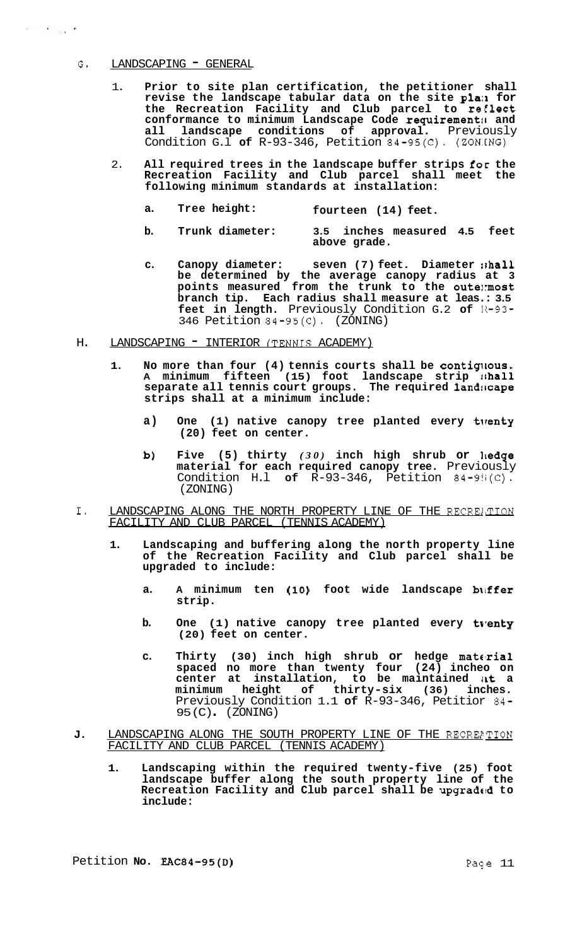#### G. LANDSCAPING " GENERAL

 $\alpha = 1.3$  and  $\alpha = 1.3$ 

- 1. **Prior to site plan certification, the petitioner shall revise the landscape tabular data on the site pla:1 for**  the Recreation Facility and Club parcel to reflect **conformance to minimum Landscape Code requirementit and all landscape conditions of approval.** Previously Condition G.l **of** R-93-346, Petition 84-95(C). (ZON.CNG)
- 2. **All required trees in the landscape buffer strips for the Recreation Facility and Club parcel shall meet the following minimum standards at installation:** 
	- **a. Tree height: fourteen (14) feet.**
	- **b. Trunk diameter: 3.5 inches measured 4.5 feet above grade.**
	- **c. Canopy diameter: seven (7) feet. Diameter :shall be determined by the average canopy radius at 3 points measured from the trunk to the oute1:most branch tip. Each radius shall measure at leas.: 3.5**  feet in length. Previously Condition G.2 of R-93-346 Petition 84-95(C). (ZONING)
- H. LANDSCAPING INTERIOR (TENNIS ACADEMY)
	- **1. No more than four (4) tennis courts shall be contiqtous. A minimum fifteen (15) foot landscape strip !,hall separate all tennis court groups. The required 1and:icape strips shall at a minimum include:** 
		- **a) One (1) native canopy tree planted every tlrenty (20) feet on center.**
		- **b) Five (5) thirty** *(30)* **inch high shrub or ]ledge material for each required canopy tree.** Previously Condition H.l **of** R-93-346, Petition 84-9!i(C). (ZONING)
- I. LANDSCAPING ALONG THE NORTH PROPERTY LINE OF THE RECREATION FACILITY AND CLUB PARCEL (TENNIS ACADEMY)
	- **1. Landscaping and buffering along the north property line of the Recreation Facility and Club parcel shall be upgraded to include:** 
		- **a. A minimum ten (10) foot wide landscape bliffer strip.**
		- b. One (1) native canopy tree planted every tventy **(20) feet on center.**
		- **c. Thirty (30) inch high shrub or hedge material spaced no more than twenty four (24) incheo on center at installation, to be maintained iLt a minimum height of thirty-six (36) inches.**  Previously Condition 1.1 **of** R-93-346, Petitior 84- 95 (C) . (ZONING)
- J. LANDSCAPING ALONG THE SOUTH PROPERTY LINE OF THE RECREPTION FACILITY AND CLUB PARCEL (TENNIS ACADEMY)
	- **1. Landscaping within the required twenty-five (25) foot landscape buffer along the south property line of the Recreation Facility and Club parcel shall be upgradetd to include:**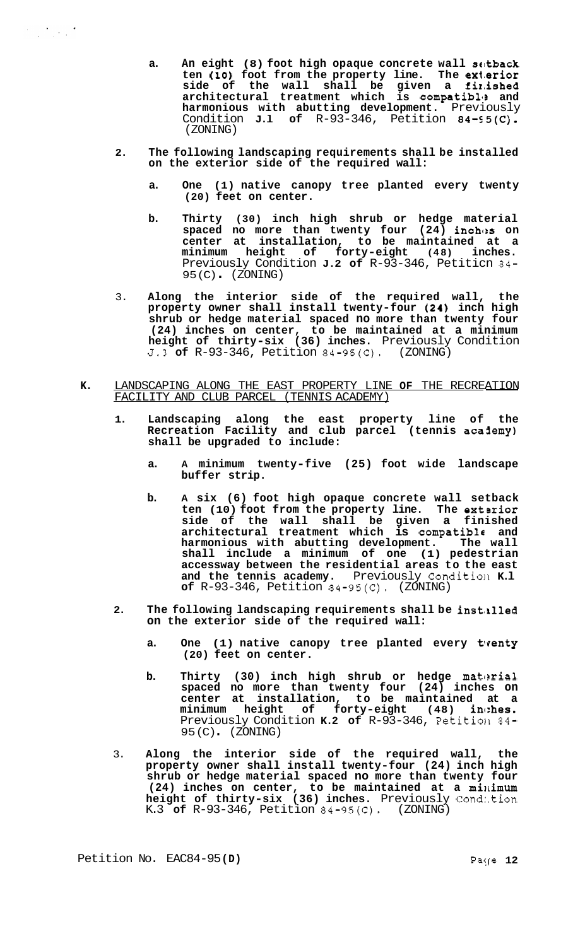- **a. An eight (8) foot high opaque concrete wall scttback ten (10) foot from the property line. The extarior side of the wall shall be given a firhished architectural treatment which is compatibll, and harmonious with abutting development.** Previously Condition **J.1** of R-93-346, Petition 84-95(C). (ZONING)
- **2. The following landscaping requirements shall be installed on the exterior side of the required wall:** 
	- **a. One (1) native canopy tree planted every twenty (20) feet on center.**
	- **b. Thirty (30) inch high shrub or hedge material spaced no more than twenty four (24) inches on center at installation, to be maintained at a minimum height of forty-eight (48) inches.**  Previously Condition **J.2 of** R-93-346, Petiticn 84- 95 (C) . (ZONING)
- 3. **Along the interior side of the required wall, the property owner shall install twenty-four (24) inch high shrub or hedge material spaced no more than twenty four (24) inches on center, to be maintained at a minimum height of thirty-six (36) inches.** Previously Condition 5.3 **of** R-93-346, Petition 84-95(C). (ZONING)
- **K.** LANDSCAPING ALONG THE EAST PROPERTY LINE **OF** THE RECREATION FACILITY AND CLUB PARCEL (TENNIS ACADEMY)
	- **1. Landscaping along the east property line of the Recreation Facility and club parcel (tennis aca3emy) shall be upgraded to include:** 
		- **a. A minimum twenty-five (25) foot wide landscape buffer strip.**
		- **b. A six (6) foot high opaque concrete wall setback**  ten (10) foot from the property line. The exterior **side of the wall shall be given a finished architectural treatment which is compatible and harmonious with abutting development. The wall shall include a minimum of one (1) pedestrian accessway between the residential areas to the east and the tennis academy.** Previously Conditio11 **K.l of** R-93-346, Petition 84-95(C). (ZONING)
	- 2. The following landscaping requirements shall be installed **on the exterior side of the required wall:** 
		- a. One (1) native canopy tree planted every twenty **(20) feet on center.**
		- **b.** Thirty (30) inch high shrub or hedge material **spaced no more than twenty four (24) inches on center at installation, to be maintained at a**  minimum height of forty-eight (48) inches. Previously Condition **K.2 of** R-93-346, Petition 84-95 (C) . (ZONING)
	- 3. **Along the interior side of the required wall, the property owner shall install twenty-four (24) inch high shrub or hedge material spaced no more than twenty four (24) inches on center, to be maintained at a millimum height of thirty-six (36) inches.** Previously Cond:.tion K.3 **of** R-93-346, Petition 84-95(C). (ZONING)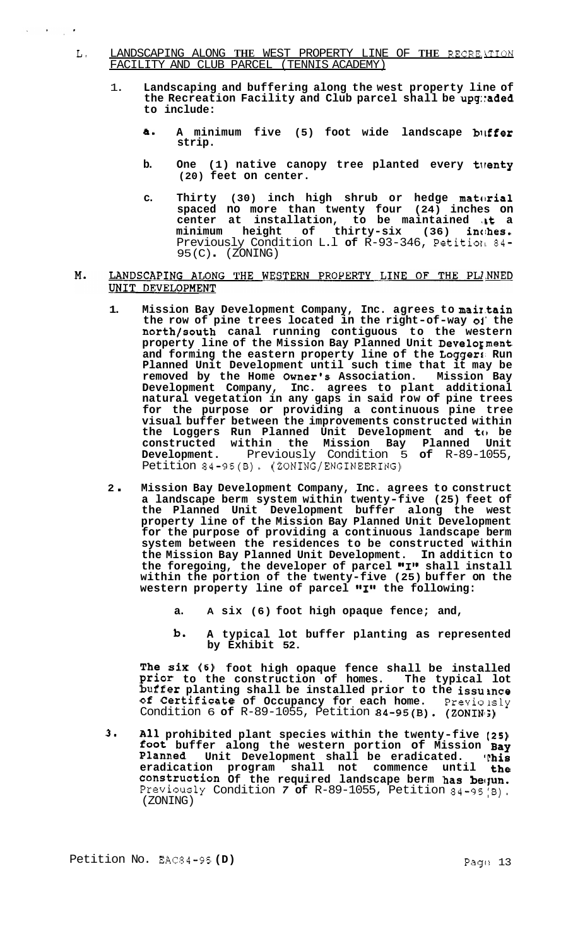- L. LANDSCAPING ALONG **THE** WEST PROPERTY LINE OF **THE** RECRE.4TION FACILITY AND CLUB PARCEL (TENNIS ACADEMY)
	- 1. **Landscaping and buffering along the west property line of the Recreation Facility and Club parcel shall be upg::aded to include:** 
		- **a- A minimum five (5) foot wide landscape bitffer strip.**
		- **b. One (1) native canopy tree planted every tlrenty (20) feet on center.**
		- c. Thirty (30) inch high shrub or hedge material **spaced no more than twenty four (24) inches on**  center at installation, to be maintained at a  $minimum$  height of thirty-six (36) inches. Previously Condition L.1 of R-93-346, Petition 84- $95 (C)$   $(ZONING)$
- M. LANDSCAPING ALONG THE WESTERN PROPERTY LINE OF THE PLINNED UNIT DEVELOPMENT
	- **1. Mission Bay Development Company, Inc. agrees to maiI.tain the row of pine trees located in the right-of-way 01' the north/south canal running contiguous to the western property line of the Mission Bay Planned Unit Develogment and forming the eastern property line of the Loggers, Run Planned Unit Development until such time that it may be removed by the Home Owner's Association. Mission Bay Development Company, Inc. agrees to plant additional natural vegetation in any gaps in said row of pine trees for the purpose or providing a continuous pine tree visual buffer between the improvements constructed within the Loggers Run Planned Unit Development and to be constructed within the Mission Bay Planned Unit Development.** Previously Condition 5 **of** R-89-1055, Petition 84-95(B). (ZONING/ENGINEERING)
	- **<sup>2</sup>**. **Mission Bay Development Company, Inc. agrees to construct a landscape berm system within twenty-five (25) feet of the Planned Unit Development buffer along the west property line of the Mission Bay Planned Unit Development for the purpose of providing a continuous landscape berm system between the residences to be constructed within the Mission Bay Planned Unit Development. In additicn to**  the foregoing, the developer of parcel "I" shall install **within the portion of the twenty-five (25) buffer on the**  western property line of parcel "I" the following:
		- **a. A six (6) foot high opaque fence; and,**
		- **b- A typical lot buffer planting as represented by Exhibit 52.**

**The six (6) foot high opaque fence shall be installed Prior to the construction of homes. The typical lot buffer planting shall be installed prior to the issusnce of Certificate of Occupancy for each home.** Previo lsly Condition 6 of R-89-1055, Petition 84-95(B). (ZONIN;)

**3- All prohibited plant species within the twenty-five (25) foot buffer along the western portion of Mission Bay Planned Unit Development shall be eradicated. 'phis eradication program shall not commence until the**  construction Of the required landscape berm has bequn. Previously Condition 7 of R-89-1055, Petition 84-95(8). (ZONING)

 $\mathcal{L} = \mathcal{L} \left( \mathcal{L} \right)$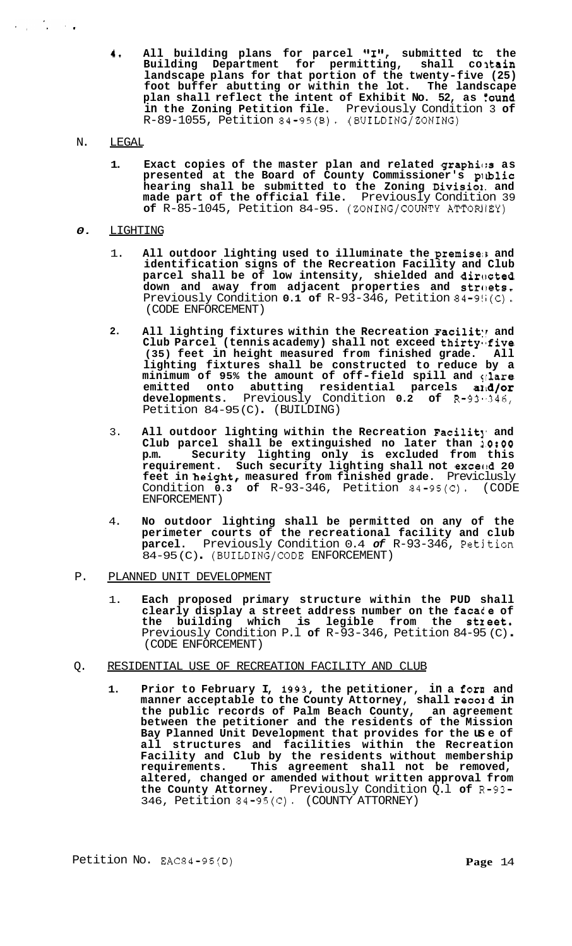**4.** All building plans for parcel "I", submitted tc the **Building Department for permitting, shall co ltain landscape plans for that portion of the twenty-five (25) foot buffer abutting or within the lot. The landscape plan shall reflect the intent of Exhibit No. 52, as found in the Zoning Petition file.** Previously Condition 3 **of**  R-89-1055, Petition 84-95(B). (BUILDING/ZONING)

# N. LEGAL

 $\mathcal{L}_{\text{max}} = \frac{1}{2} \sum_{i=1}^{2} \mathcal{L}_{\text{max}}$ 

**1. Exact copies of the master plan and related graphic:s as presented at the Board of County Commissioner's prlblic hearing shall be submitted to the Zoning Divisiox. and made part of the official file.** Previously Condition 39 **of** R-85-1045, Petition 84-95. (ZONING/COUNTY ATTORllEY)

# *0.* LIGHTING

- 1. **All outdoor lighting used to illuminate the premiseis and identification signs of the Recreation Facility and Club**  parcel shall be of low intensity, shielded and directed down and away from adjacent properties and streets. Previously Condition **0.1 of** R-93-346, Petition 84-9!i(C). (CODE ENFORCEMENT)
- 2. All lighting fixtures within the Recreation Facility and Club Parcel (tennis academy) shall not exceed thirty five<br>(35) feet in height measured from finished grade. All (35) feet in height measured from finished grade. **lighting fixtures shall be constructed to reduce by a minimum of 95% the amount of off-field spill and qlare emitted onto abutting residential parcels al~d/or developments.** Previously Condition **0.2 of** R-93-,346, Petition 84-95(C) (BUILDING)
- 3. **All outdoor lighting within the Recreation Facilit], and Club parcel shall be extinguished no later than 1O:OO p.m. Security lighting only is excluded from this requirement. Such security lighting shall not excecld 20 feet in height, measured from finished grade.** Previclusly Condition **0.3 of** R-93-346, Petition 84-95(C). (CODE ENFORCEMENT)
- 4. **No outdoor lighting shall be permitted on any of the perimeter courts of the recreational facility and club parcel.** Previously Condition 0.4 *of* R-93-346, Petjtion 84-95 (C) . (BUILDING/CODE ENFORCEMENT)
- P. PLANNED UNIT DEVELOPMENT
	- 1. **Each proposed primary structure within the PUD shall clearly display a street address number on the facace of the building which is legible from the stzeet.**  Previously Condition P.l **of** R-93-346, Petition 84-95 (C) . (CODE ENFORCEMENT)

# Q. RESIDENTIAL USE OF RECREATION FACILITY AND CLUB

**1. Prior to February I, 1993, the petitioner, in a forn and**  manner acceptable to the County Attorney, shall reco1d in **the public records of Palm Beach County, an agreement between the petitioner and the residents of the Mission Bay Planned Unit Development that provides for the us e of all structures and facilities within the Recreation Facility and Club by the residents without membership requirements. This agreement shall not be removed, altered, changed or amended without written approval from the County Attorney.** Previously Condition Q.l **of** R-93- 346, Petition 84-95(C). (COUNTY ATTORNEY)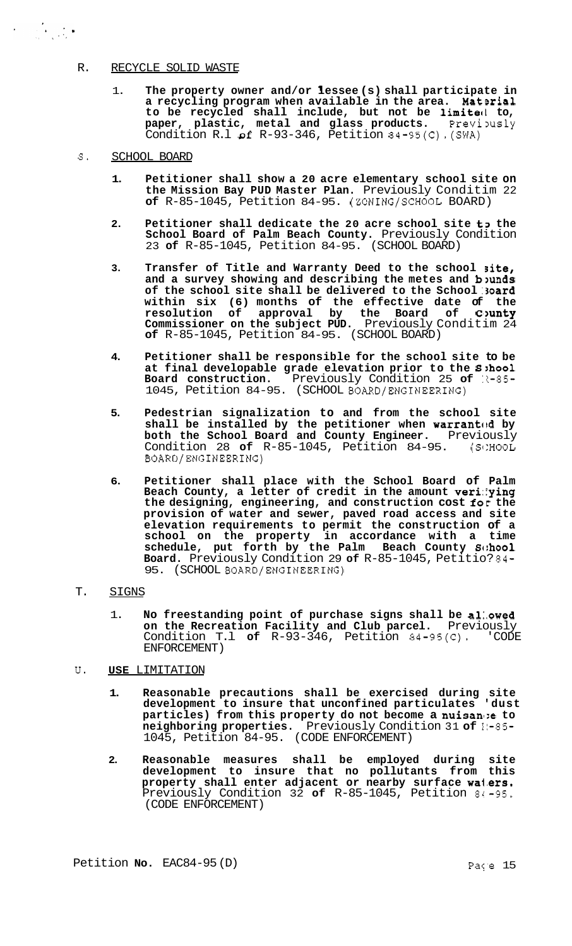# R. RECYCLE SOLID WASTE

- 1. **The property owner and/or lessee (s) shall participate in**  a recycling program when available in the area. Material **to be recycled shall include, but not be limitecl to, paper, plastic, metal and glass products.** Previously paper, plastic, metal and glass products. Previously<br>Condition R.l of R-93-346, Petition 84-95(C).(SWA)
- **S.** SCHOOL BOARD

- **1. Petitioner shall show a 20 acre elementary school site on the Mission Bay PUD Master Plan.** Previously Conditim 22 **of** R-85-1045, Petition 84-95. (ZONING/SCHOOL BOARD)
- **2. Petitioner shall dedicate the 20 acre school site t3 the School Board of Palm Beach County.** Previously Condition 23 **of** R-85-1045, Petition 84-95. (SCHOOL BOARD)
- **3. Transfer of Title and Warranty Deed to the school site,**  and a survey showing and describing the metes and **b**)un**ds of the school site shall be delivered to the School '3oard within six (6) months of the effective date of the resolution of approval by the Board of C'mnty Commissioner on the subject PUD.** Previously Conditim 24 **of** R-85-1045, Petition 84-95. (SCHOOL BOARD)
- **4. Petitioner shall be responsible for the school site to be at final developable grade elevation prior to the S8:hool Board construction.** Previously Condition 25 of  $15-85-$ 1045, Petition 84-95. (SCHOOL BOARD/ENGINEERING)
- **5. Pedestrian signalization to and from the school site**  shall be installed by the petitioner when **warranted** by **both the School Board and County Engineer.** Previously Condition 28 **of** R-85-1045, Petition 84-95. (S1:HOOL BOARD/ENGINEERING)
- **6. Petitioner shall place with the School Board of Palm Beach County, a letter of credit in the amount veri:lying the designing, engineering, and construction cost for the provision of water and sewer, paved road access and site elevation requirements to permit the construction of a school on the property in accordance with a time schedule, put forth by the Palm Beach County Sc:hool Board.** Previously Condition 29 **of** R-85-1045, Petitio? 84- 95. (SCHOOL BOARD/ENGINEERING)

# T. SIGNS

1. **No freestanding point of purchase signs shall be al:.owed on the Recreation Facility and Club parcel.** Previously Condition T.1 of  $R-\frac{93-346}{R}$ , Petition  $\frac{34-95}{C}$ , 'CODE ENFORCEMENT)

# **U. USE** LIMITATION

- **1. Reasonable precautions shall be exercised during site development to insure that unconfined particulates 'dust particles) from this property do not become a nuisan1:e to neighboring properties.** Previously Condition 31 **of** 1:-85- 1045, Petition 84-95. (CODE ENFORCEMENT)
- **2. Reasonable measures shall be employed during site development to insure that no pollutants from this property shall enter adjacent or nearby surface wa1.ers.**  Previously Condition 32 **of** R-85-1045, Petition 81-95. (CODE ENFORCEMENT)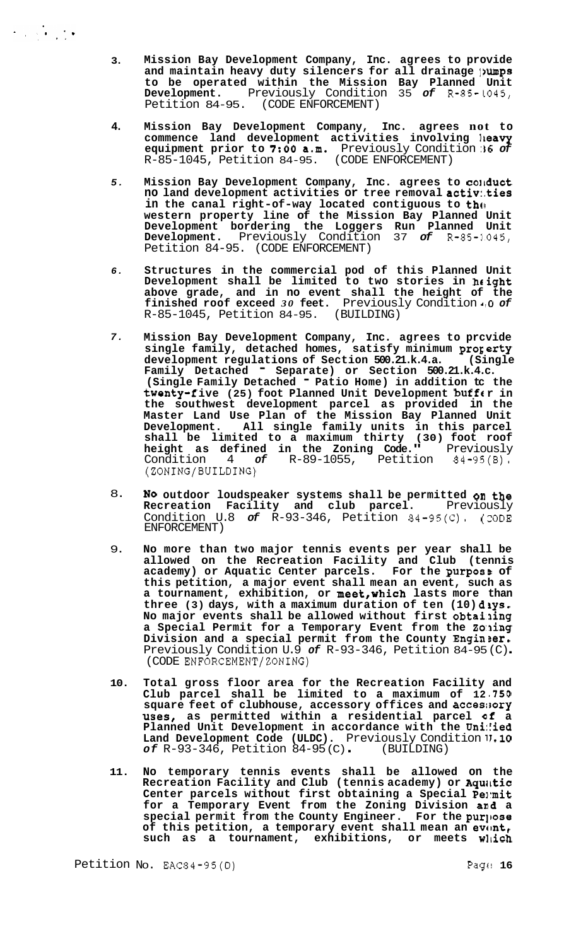- **3. Mission Bay Development Company, Inc. agrees to provide and maintain heavy duty silencers for all drainage ]?umps to be operated within the Mission Bay Planned Unit Development.** Previously Condition 35 *of* R-85-L045, Petition 84-95. (CODE ENFORCEMENT)
- **4. Mission Bay Development Company, Inc. agrees not to commence land development activities involving lleavy equipment prior to** *7:OO* **a.m.** Previously Condition **:36** *of*  R-85-1045, Petition 84-95. (CODE ENFORCEMENT)
- *5.*  **Mission Bay Development Company, Inc. agrees to coltduct no land development activities or tree removal activ:.ties**  in the canal right-of-way located contiguous to the **western property line of the Mission Bay Planned Unit Development bordering the Loggers Run Planned Unit Development.** Previously Condition 37 *of* R-85-3045, Petition 84-95. (CODE ENFORCEMENT)
- *6.*  **Structures in the commercial pod of this Planned Unit Development shall be limited to two stories in hcight above grade, and in no event shall the height of the**  finished roof exceed 30 feet. Previously Condition  $\cdot$  0 of R-85-1045, Petition 84-95. (BUILDING) R-85-1045, Petition 84-95.
- *7.*  **Mission Bay Development Company, Inc. agrees to prcvide single family, detached homes, satisfy minimum progerty**  development regulations of Section 500.21.k.4.a. **Family Detached** - **Separate) or Section 500.21.k.4.c. (Single Family Detached** - **Patio Home) in addition tc the**  twenty-five (25) foot Planned Unit Development buff(r in **the southwest development parcel as provided in the Master Land Use Plan of the Mission Bay Planned Unit Development. All single family units in this parcel shall be limited to a maximum thirty (30) foot roof height as defined in the Zoning Code."** Previously Condition 4 *of* R-89-1055, Petition 84-95(B). (ZONING/BUILDING)
- 8. **NO outdoor loudspeaker systems shall be permitted on the Recreation Facility and club parcel.** Previously Condition U.8 of R-93-346, Petition 84-95(C). (CODE ENFORCEMENT)
- 9. **No more than two major tennis events per year shall be allowed on the Recreation Facility and Club (tennis academy) or Aquatic Center parcels. For the purposs of this petition, a major event shall mean an event, such as a tournament, exhibition, or meet,WhiCh lasts more than**  three (3) days, with a maximum duration of ten (10) diys. **No major events shall be allowed without first obtailing a Special Permit for a Temporary Event from the 2o:ling**  Division and a special permit from the County Engineer. Previously Condition U.9 *of* R-93-346, Petition 84-95 (C) . (CODE ENFORCEMENT/ZONING)
- **10. Total gross floor area for the Recreation Facility and Club parcel shall be limited to a maximum of 12** *,750*  **square feet of clubhouse, accessory offices and accesltory uses, as permitted within a residential parcel af a**  Planned Unit Development in accordance with the Uni:ied **Land Development Code (ULDC).** Previously Condition **1J.10**  *of* R-93-346, Petition 84-95 (C) . (BUILDING)
- **11. No temporary tennis events shall be allowed on the**  Recreation Facility and Club (tennis academy) or Aquatic Center parcels without first obtaining a Special Permit **for a Temporary Event from the Zoning Division amd a**  special permit from the County Engineer. For the purpose of this petition, a temporary event shall mean an event, such as a tournament, exhibitions, or meets wlich

 $\label{eq:2} \frac{1}{2} \int_{\mathbb{R}^3} \frac{1}{\sqrt{2}} \, \frac{1}{\sqrt{2}} \, \frac{1}{\sqrt{2}} \, \frac{1}{\sqrt{2}} \, \frac{1}{\sqrt{2}} \, \frac{1}{\sqrt{2}} \, \frac{1}{\sqrt{2}} \, \frac{1}{\sqrt{2}} \, \frac{1}{\sqrt{2}} \, \frac{1}{\sqrt{2}} \, \frac{1}{\sqrt{2}} \, \frac{1}{\sqrt{2}} \, \frac{1}{\sqrt{2}} \, \frac{1}{\sqrt{2}} \, \frac{1}{\sqrt{2}} \, \frac{1}{\sqrt{2}} \, \frac$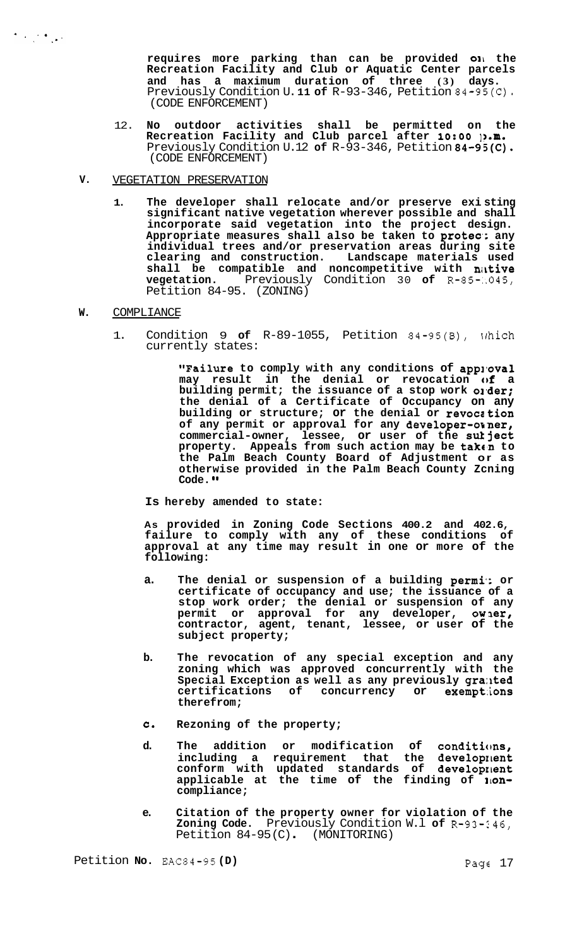**requires more parking than can be provided OIL the Recreation Facility and Club or Aquatic Center parcels and has a maximum duration of three (3) days.**  Previously Condition U. **11 of** R-93-346, Petition 84-95(C). (CODE ENFORCEMENT)

12. **No outdoor activities shall be permitted on the Recreation Facility and Club parcel after 1O:OO ]?.m.**  Previously Condition U.12 **of** R-93-346, Petition 84-95(C). (CODE ENFORCEMENT)

#### **V.**  VEGETATION PRESERVATION

**1. The developer shall relocate and/or preserve exi sting significant native vegetation wherever possible and shall incorporate said vegetation into the project design. Appropriate measures shall also be taken to protea;. any individual trees and/or preservation areas during site clearing and construction. Landscape materials used shall be compatible and noncompetitive with nirtive vegetation.** Previously Condition 30 **of** R-85-:.045, Petition 84-95. (ZONING)

# **W.** COMPLIANCE

 $\label{eq:2} \frac{1}{2} \int_{\mathbb{R}^3} \frac{1}{\sqrt{2}} \int_{\mathbb{R}^3} \frac{1}{\sqrt{2}} \int_{\mathbb{R}^3} \frac{1}{\sqrt{2}} \int_{\mathbb{R}^3} \frac{1}{\sqrt{2}} \int_{\mathbb{R}^3} \frac{1}{\sqrt{2}} \int_{\mathbb{R}^3} \frac{1}{\sqrt{2}} \int_{\mathbb{R}^3} \frac{1}{\sqrt{2}} \int_{\mathbb{R}^3} \frac{1}{\sqrt{2}} \int_{\mathbb{R}^3} \frac{1}{\sqrt{2}} \int_{\mathbb{R$ 

1. Condition 9 **of** R-89-1055, Petition 84-95(B), xrhich currently states:

> **"Failure** to comply with any conditions of approval **may result in the denial or revocation of a building permit; the issuance of a stop work ol-der; the denial of a Certificate of Occupancy on any building or structure; or the denial or revocation of any permit or approval for any developer-orner, commercial-owner, lessee, or user of the sutject**  property. Appeals from such action may be taken to **the Palm Beach County Board of Adjustment or as otherwise provided in the Palm Beach County Zcning Code. I@**

# **Is hereby amended to state:**

**As provided in Zoning Code Sections 400.2 and 402.6, failure to comply with any of these conditions of approval at any time may result in one or more of the following:** 

- a. The denial or suspension of a building permi: or **certificate of occupancy and use; the issuance of a stop work order; the denial or suspension of any permit or approval for any developer, owler, contractor, agent, tenant, lessee, or user of the subject property;**
- **b. The revocation of any special exception and any zoning which was approved concurrently with the Special Exception as well as any previously gra:lted certifications of concurrency or exempt:ions therefrom;**
- **C. Rezoning of the property;**
- **d. The addition or modification of conditicms, including a requirement that the developrlent conform with updated standards of developrlent applicable at the time of the finding of 110ncompliance;**
- **e. Citation of the property owner for violation of the Zoning Code.** Previously Condition W.l **of** R-93-246, Petition 84-95(C). (MONITORING)